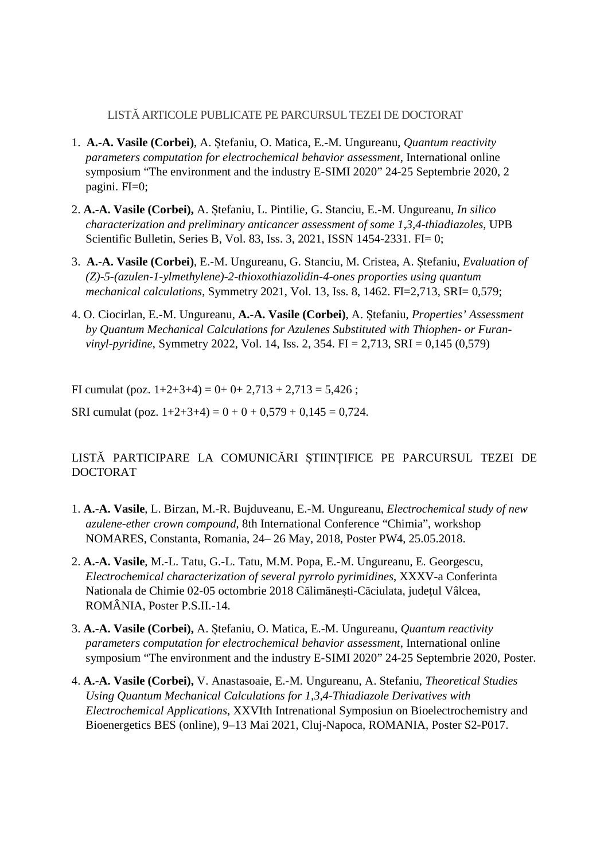## LISTĂ ARTICOLE PUBLICATE PE PARCURSUL TEZEI DE DOCTORAT

- 1. **A.-A. Vasile (Corbei)**, A. Ștefaniu, O. Matica, E.-M. Ungureanu, *Quantum reactivity parameters computation for electrochemical behavior assessment*, International online symposium "The environment and the industry E-SIMI 2020" 24-25 Septembrie 2020, 2 pagini. FI=0;
- 2. **A.-A. Vasile (Corbei),** A. Ștefaniu, L. Pintilie, G. Stanciu, E.-M. Ungureanu, *In silico characterization and preliminary anticancer assessment of some 1,3,4-thiadiazoles*, UPB Scientific Bulletin, Series B, Vol. 83, Iss. 3, 2021, ISSN 1454-2331. FI= 0;
- 3. **A.-A. Vasile (Corbei)**, E.-M. Ungureanu, G. Stanciu, M. Cristea, A. Ștefaniu, *Evaluation of (Z)-5-(azulen-1-ylmethylene)-2-thioxothiazolidin-4-ones proporties using quantum mechanical calculations*, Symmetry 2021, Vol. 13, Iss. 8, 1462. FI=2,713, SRI= 0,579;
- 4. O. Ciocirlan, E.-M. Ungureanu, **A.-A. Vasile (Corbei)**, A. Ștefaniu, *Properties' Assessment by Quantum Mechanical Calculations for Azulenes Substituted with Thiophen- or Furanvinyl-pyridine*, Symmetry 2022, Vol. 14, Iss. 2, 354. FI = 2,713, SRI = 0,145 (0,579)

FI cumulat (poz.  $1+2+3+4$ ) = 0+ 0+ 2,713 + 2,713 = 5,426;

SRI cumulat (poz.  $1+2+3+4$ ) =  $0+0+0,579+0,145 = 0,724$ .

## LISTĂ PARTICIPARE LA COMUNICĂRI ȘTIINȚIFICE PE PARCURSUL TEZEI DE DOCTORAT

- 1. **A.-A. Vasile**, L. Birzan, M.-R. Bujduveanu, E.-M. Ungureanu, *Electrochemical study of new azulene-ether crown compound*, 8th International Conference "Chimia", workshop NOMARES, Constanta, Romania, 24– 26 May, 2018, Poster PW4, 25.05.2018.
- 2. **A.-A. Vasile**, M.-L. Tatu, G.-L. Tatu, M.M. Popa, E.-M. Ungureanu, E. Georgescu, *Electrochemical characterization of several pyrrolo pyrimidines*, XXXV-a Conferinta Nationala de Chimie 02-05 octombrie 2018 Călimănești-Căciulata, judeţul Vâlcea, ROMÂNIA, Poster P.S.II.-14.
- 3. **A.-A. Vasile (Corbei),** A. Ștefaniu, O. Matica, E.-M. Ungureanu, *Quantum reactivity parameters computation for electrochemical behavior assessment*, International online symposium "The environment and the industry E-SIMI 2020" 24-25 Septembrie 2020, Poster.
- 4. **A.-A. Vasile (Corbei),** V. Anastasoaie, E.-M. Ungureanu, A. Stefaniu, *Theoretical Studies Using Quantum Mechanical Calculations for 1,3,4-Thiadiazole Derivatives with Electrochemical Applications*, XXVIth Intrenational Symposiun on Bioelectrochemistry and Bioenergetics BES (online), 9–13 Mai 2021, Cluj-Napoca, ROMANIA, Poster S2-P017.